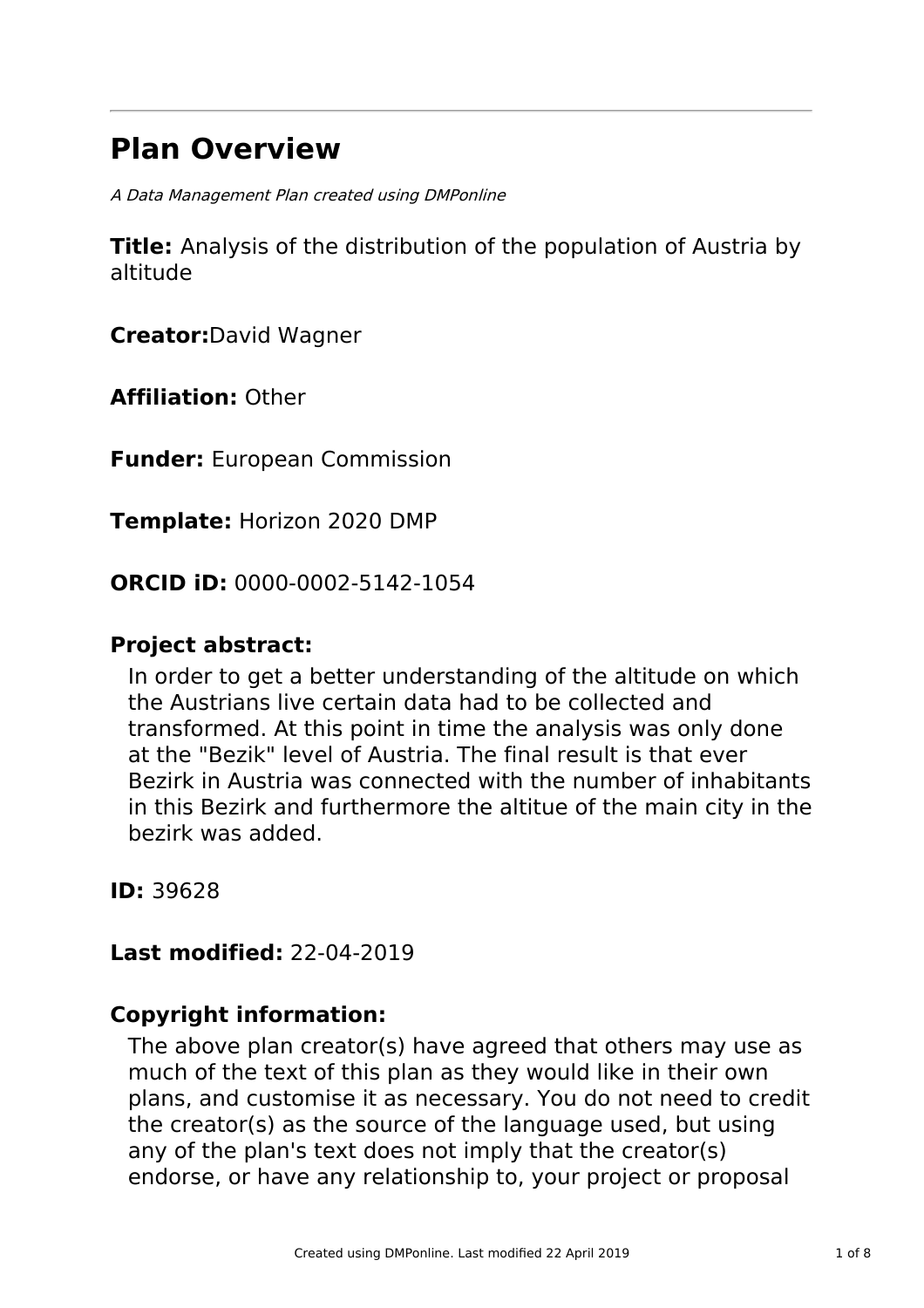# **Plan Overview**

A Data Management Plan created using DMPonline

**Title:** Analysis of the distribution of the population of Austria by altitude

**Creator:**David Wagner

**Affiliation:** Other

**Funder:** European Commission

**Template:** Horizon 2020 DMP

**ORCID iD:** 0000-0002-5142-1054

# **Project abstract:**

In order to get a better understanding of the altitude on which the Austrians live certain data had to be collected and transformed. At this point in time the analysis was only done at the "Bezik" level of Austria. The final result is that ever Bezirk in Austria was connected with the number of inhabitants in this Bezirk and furthermore the altitue of the main city in the bezirk was added.

**ID:** 39628

**Last modified:** 22-04-2019

### **Copyright information:**

The above plan creator(s) have agreed that others may use as much of the text of this plan as they would like in their own plans, and customise it as necessary. You do not need to credit the creator(s) as the source of the language used, but using any of the plan's text does not imply that the creator(s) endorse, or have any relationship to, your project or proposal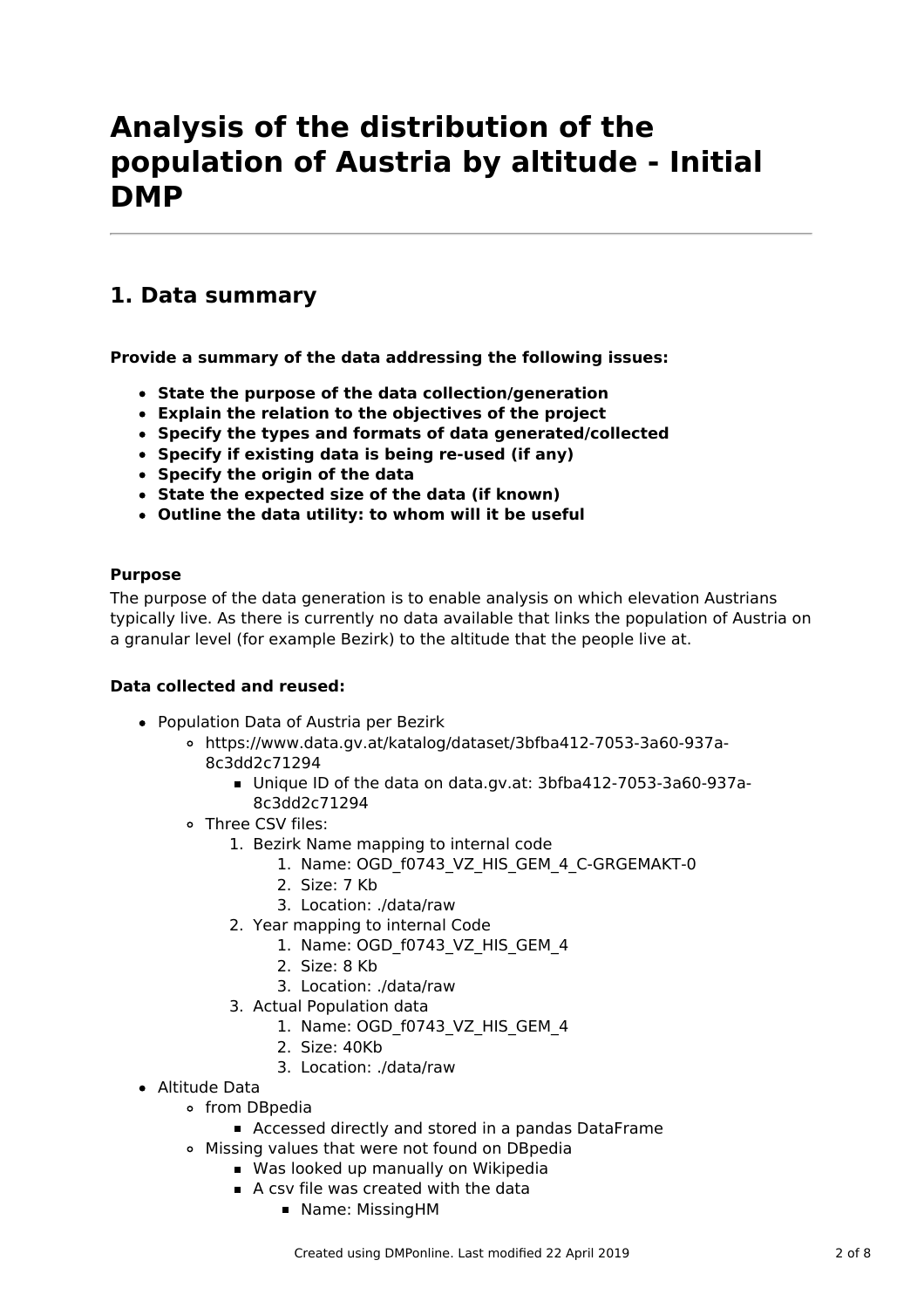# **Analysis of the distribution of the population of Austria by altitude - Initial DMP**

# **1. Data summary**

**Provide a summary of the data addressing the following issues:**

- **State the purpose of the data collection/generation**
- **Explain the relation to the objectives of the project**
- **Specify the types and formats of data generated/collected**
- **Specify if existing data is being re-used (if any)**
- **Specify the origin of the data**
- **State the expected size of the data (if known)**
- **Outline the data utility: to whom will it be useful**

### **Purpose**

The purpose of the data generation is to enable analysis on which elevation Austrians typically live. As there is currently no data available that links the population of Austria on a granular level (for example Bezirk) to the altitude that the people live at.

### **Data collected and reused:**

- Population Data of Austria per Bezirk
	- https://www.data.gv.at/katalog/dataset/3bfba412-7053-3a60-937a-8c3dd2c71294
		- Unique ID of the data on data.gv.at: 3bfba412-7053-3a60-937a-8c3dd2c71294
	- Three CSV files:
		- 1. Bezirk Name mapping to internal code
			- 1. Name: OGD\_f0743\_VZ\_HIS\_GEM\_4\_C-GRGEMAKT-0
			- 2. Size: 7 Kb
			- 3. Location: ./data/raw
		- 2. Year mapping to internal Code
			- 1. Name: OGD\_f0743\_VZ\_HIS\_GEM\_4
			- 2. Size: 8 Kb
			- 3. Location: ./data/raw
		- 3. Actual Population data
			- 1. Name: OGD f0743 VZ HIS GEM 4
			- 2. Size: 40Kb
			- 3. Location: ./data/raw
- Altitude Data
	- from DBpedia
		- Accessed directly and stored in a pandas DataFrame
	- Missing values that were not found on DBpedia
		- **Was looked up manually on Wikipedia**
		- A csy file was created with the data
			- **Name: MissingHM**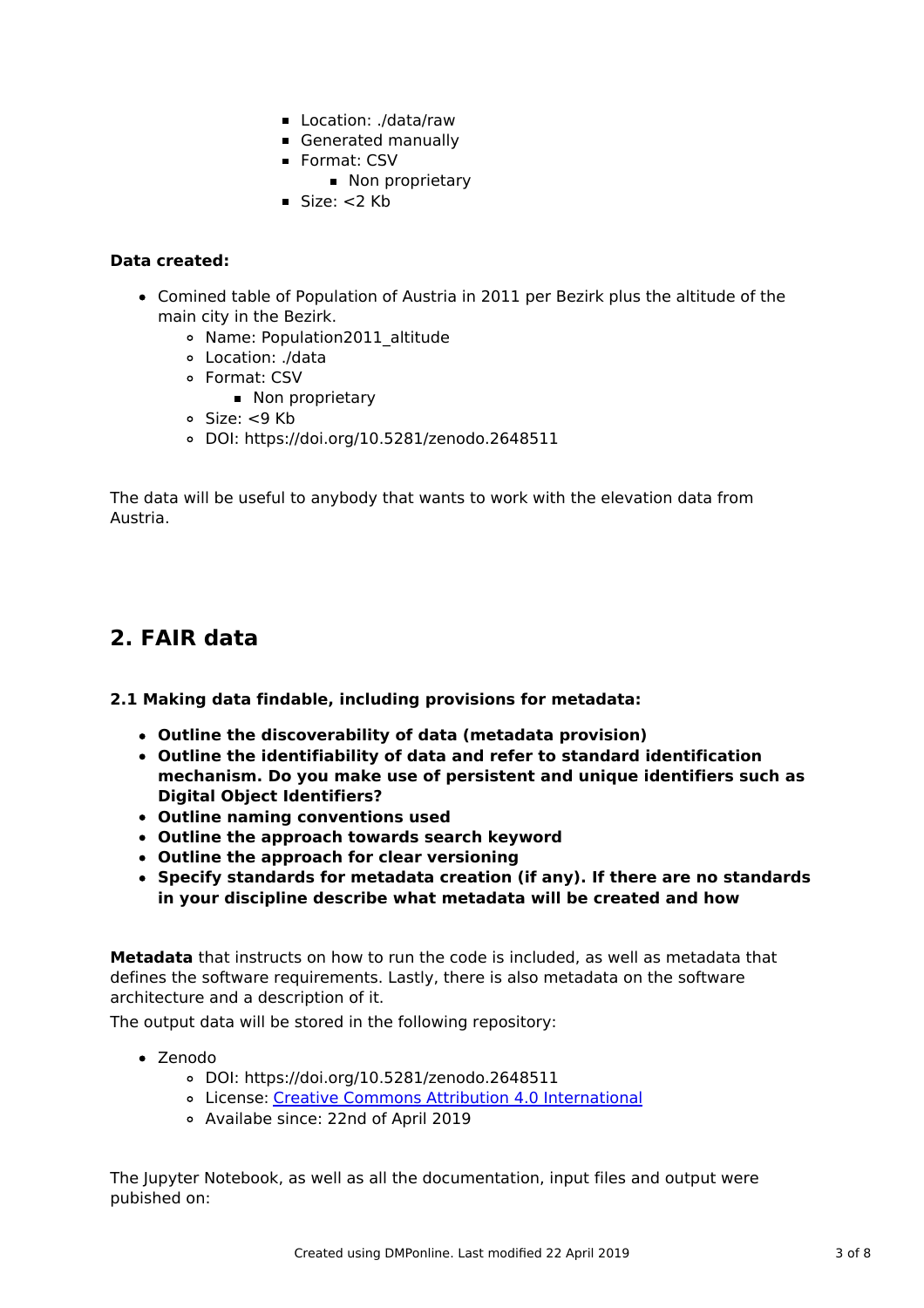- Location: ./data/raw
- Generated manually
- Format: CSV
	- Non proprietary
- $Size: < 2$  Kb

### **Data created:**

- Comined table of Population of Austria in 2011 per Bezirk plus the altitude of the main city in the Bezirk.
	- o Name: Population2011 altitude
	- Location: ./data
	- Format: CSV
		- Non proprietary
	- Size: <9 Kb
	- DOI: https://doi.org/10.5281/zenodo.2648511

The data will be useful to anybody that wants to work with the elevation data from Austria.

## **2. FAIR data**

### **2.1 Making data findable, including provisions for metadata:**

- **Outline the discoverability of data (metadata provision)**
- **Outline the identifiability of data and refer to standard identification mechanism. Do you make use of persistent and unique identifiers such as Digital Object Identifiers?**
- **Outline naming conventions used**
- **Outline the approach towards search keyword**
- **Outline the approach for clear versioning**
- **Specify standards for metadata creation (if any). If there are no standards in your discipline describe what metadata will be created and how**

**Metadata** that instructs on how to run the code is included, as well as metadata that defines the software requirements. Lastly, there is also metadata on the software architecture and a description of it.

The output data will be stored in the following repository:

- Zenodo
	- DOI: https://doi.org/10.5281/zenodo.2648511
	- License: Creative Commons Attribution 4.0 [International](http://creativecommons.org/licenses/by/4.0/legalcode)
	- Availabe since: 22nd of April 2019

The Jupyter Notebook, as well as all the documentation, input files and output were pubished on: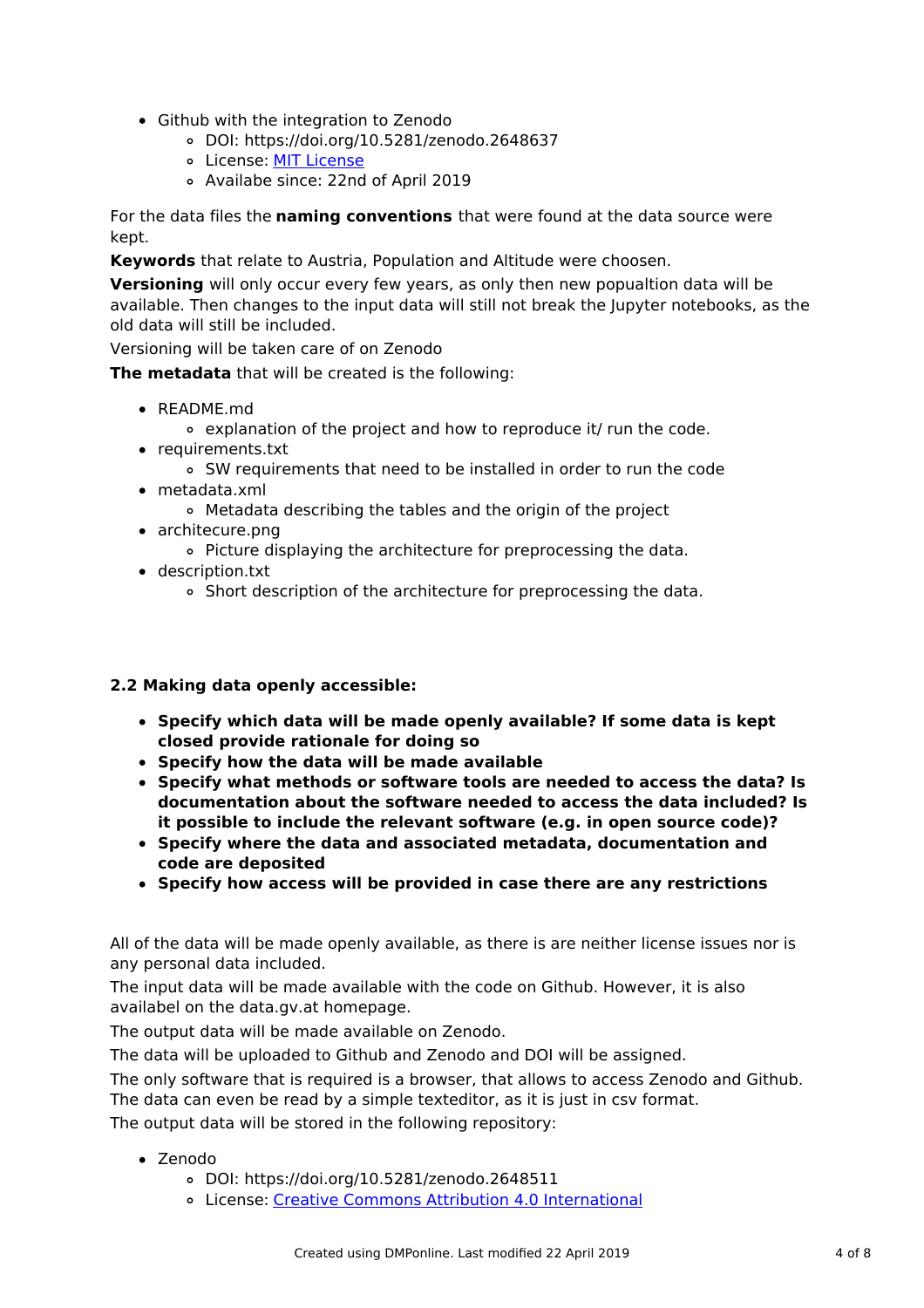- Github with the integration to Zenodo
	- DOI: https://doi.org/10.5281/zenodo.2648637
	- o [License](http://www.opensource.org/licenses/MIT): MIT License
	- Availabe since: 22nd of April 2019

For the data files the **naming conventions** that were found at the data source were kept.

**Keywords** that relate to Austria, Population and Altitude were choosen.

**Versioning** will only occur every few years, as only then new popualtion data will be available. Then changes to the input data will still not break the Jupyter notebooks, as the old data will still be included.

Versioning will be taken care of on Zenodo

**The metadata** that will be created is the following:

- README.md
	- explanation of the project and how to reproduce it/ run the code.
- requirements.txt
	- SW requirements that need to be installed in order to run the code
- metadata.xml
	- Metadata describing the tables and the origin of the project
- architecure.png
	- Picture displaying the architecture for preprocessing the data.
- description.txt
	- Short description of the architecture for preprocessing the data.

### **2.2 Making data openly accessible:**

- **Specify which data will be made openly available? If some data is kept closed provide rationale for doing so**
- **Specify how the data will be made available**
- **Specify what methods or software tools are needed to access the data? Is documentation about the software needed to access the data included? Is it possible to include the relevant software (e.g. in open source code)?**
- **Specify where the data and associated metadata, documentation and code are deposited**
- **Specify how access will be provided in case there are any restrictions**

All of the data will be made openly available, as there is are neither license issues nor is any personal data included.

The input data will be made available with the code on Github. However, it is also availabel on the data.gv.at homepage.

The output data will be made available on Zenodo.

The data will be uploaded to Github and Zenodo and DOI will be assigned.

The only software that is required is a browser, that allows to access Zenodo and Github.

The data can even be read by a simple texteditor, as it is just in csv format.

The output data will be stored in the following repository:

- Zenodo
	- DOI: https://doi.org/10.5281/zenodo.2648511
	- License: Creative Commons Attribution 4.0 [International](http://creativecommons.org/licenses/by/4.0/legalcode)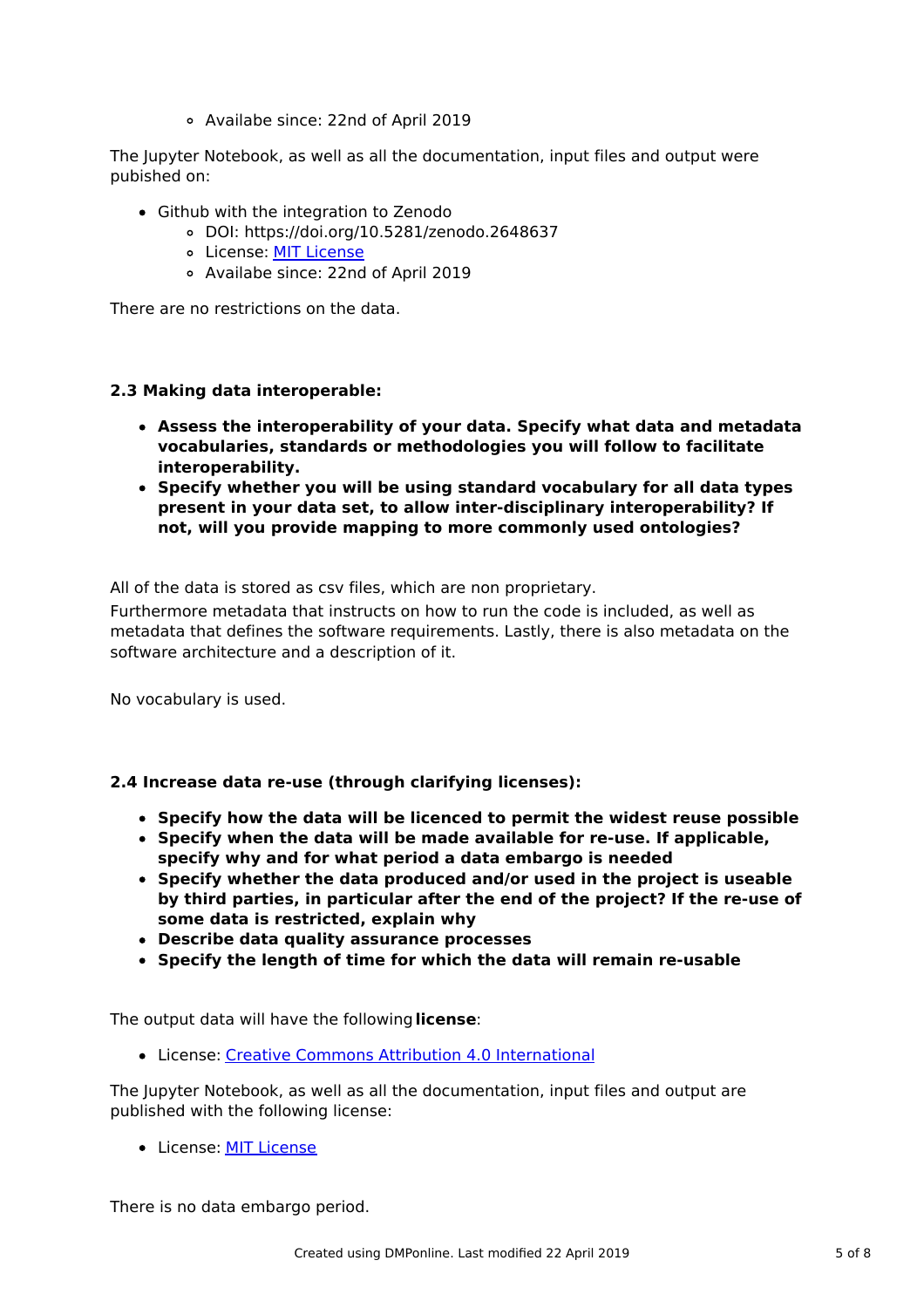Availabe since: 22nd of April 2019

The Jupyter Notebook, as well as all the documentation, input files and output were pubished on:

- Github with the integration to Zenodo
	- DOI: https://doi.org/10.5281/zenodo.2648637
	- o [License](http://www.opensource.org/licenses/MIT): MIT License
	- Availabe since: 22nd of April 2019

There are no restrictions on the data.

### **2.3 Making data interoperable:**

- **Assess the interoperability of your data. Specify what data and metadata vocabularies, standards or methodologies you will follow to facilitate interoperability.**
- **Specify whether you will be using standard vocabulary for all data types present in your data set, to allow inter-disciplinary interoperability? If not, will you provide mapping to more commonly used ontologies?**

All of the data is stored as csv files, which are non proprietary.

Furthermore metadata that instructs on how to run the code is included, as well as metadata that defines the software requirements. Lastly, there is also metadata on the software architecture and a description of it.

No vocabulary is used.

### **2.4 Increase data re-use (through clarifying licenses):**

- **Specify how the data will be licenced to permit the widest reuse possible**
- **Specify when the data will be made available for re-use. If applicable, specify why and for what period a data embargo is needed**
- **Specify whether the data produced and/or used in the project is useable by third parties, in particular after the end of the project? If the re-use of some data is restricted, explain why**
- **Describe data quality assurance processes**
- **Specify the length of time for which the data will remain re-usable**

The output data will have the following**license**:

License: Creative Commons Attribution 4.0 [International](http://creativecommons.org/licenses/by/4.0/legalcode)

The Jupyter Notebook, as well as all the documentation, input files and output are published with the following license:

• [License](http://www.opensource.org/licenses/MIT): MIT License

There is no data embargo period.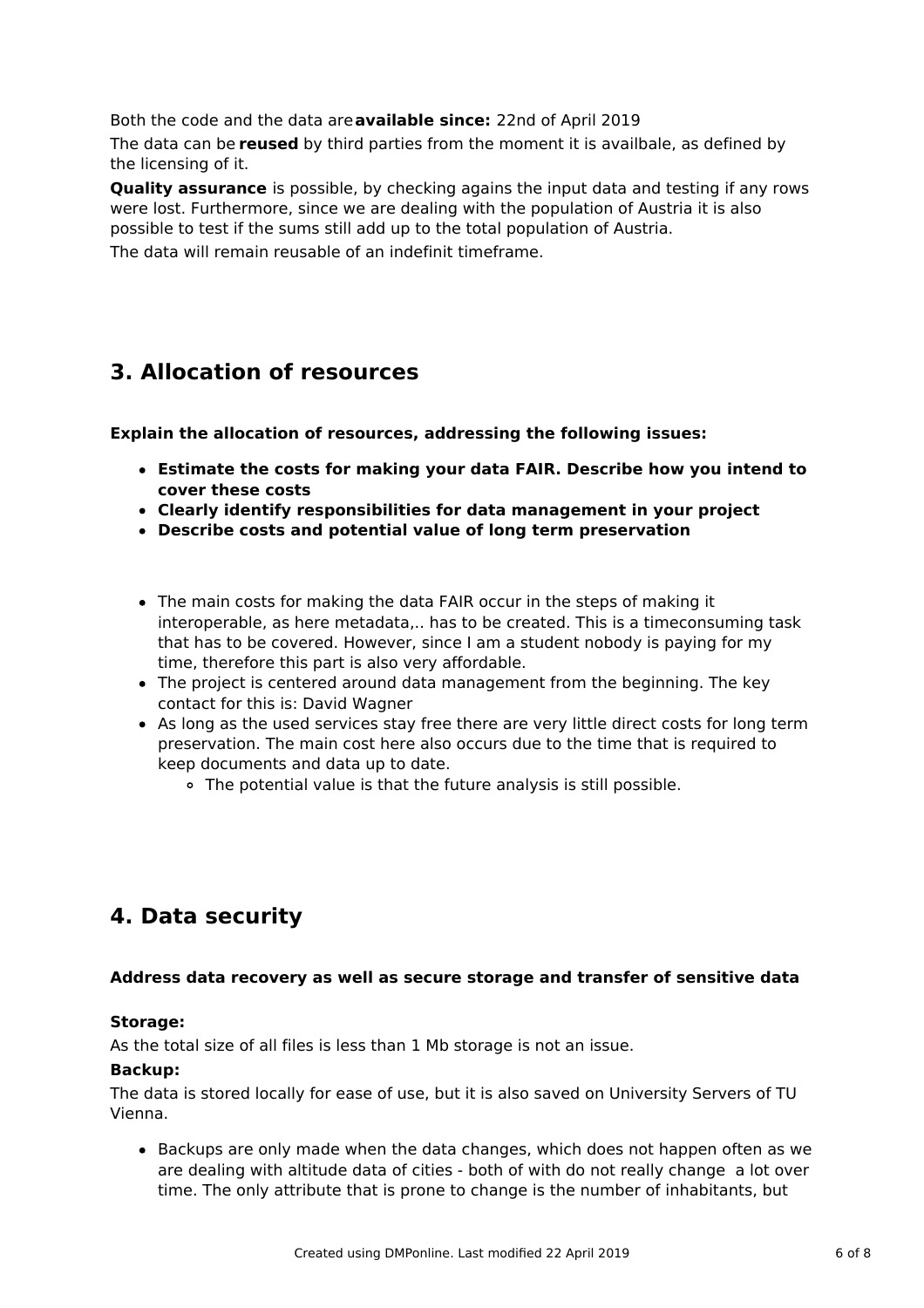Both the code and the data are**available since:** 22nd of April 2019

The data can be **reused** by third parties from the moment it is availbale, as defined by the licensing of it.

**Quality assurance** is possible, by checking agains the input data and testing if any rows were lost. Furthermore, since we are dealing with the population of Austria it is also possible to test if the sums still add up to the total population of Austria.

The data will remain reusable of an indefinit timeframe.

# **3. Allocation of resources**

**Explain the allocation of resources, addressing the following issues:**

- **Estimate the costs for making your data FAIR. Describe how you intend to cover these costs**
- **Clearly identify responsibilities for data management in your project**
- **Describe costs and potential value of long term preservation**
- The main costs for making the data FAIR occur in the steps of making it interoperable, as here metadata,.. has to be created. This is a timeconsuming task that has to be covered. However, since I am a student nobody is paying for my time, therefore this part is also very affordable.
- The project is centered around data management from the beginning. The key contact for this is: David Wagner
- As long as the used services stay free there are very little direct costs for long term preservation. The main cost here also occurs due to the time that is required to keep documents and data up to date.
	- The potential value is that the future analysis is still possible.

# **4. Data security**

### **Address data recovery as well as secure storage and transfer of sensitive data**

### **Storage:**

As the total size of all files is less than 1 Mb storage is not an issue.

### **Backup:**

The data is stored locally for ease of use, but it is also saved on University Servers of TU Vienna.

• Backups are only made when the data changes, which does not happen often as we are dealing with altitude data of cities - both of with do not really change a lot over time. The only attribute that is prone to change is the number of inhabitants, but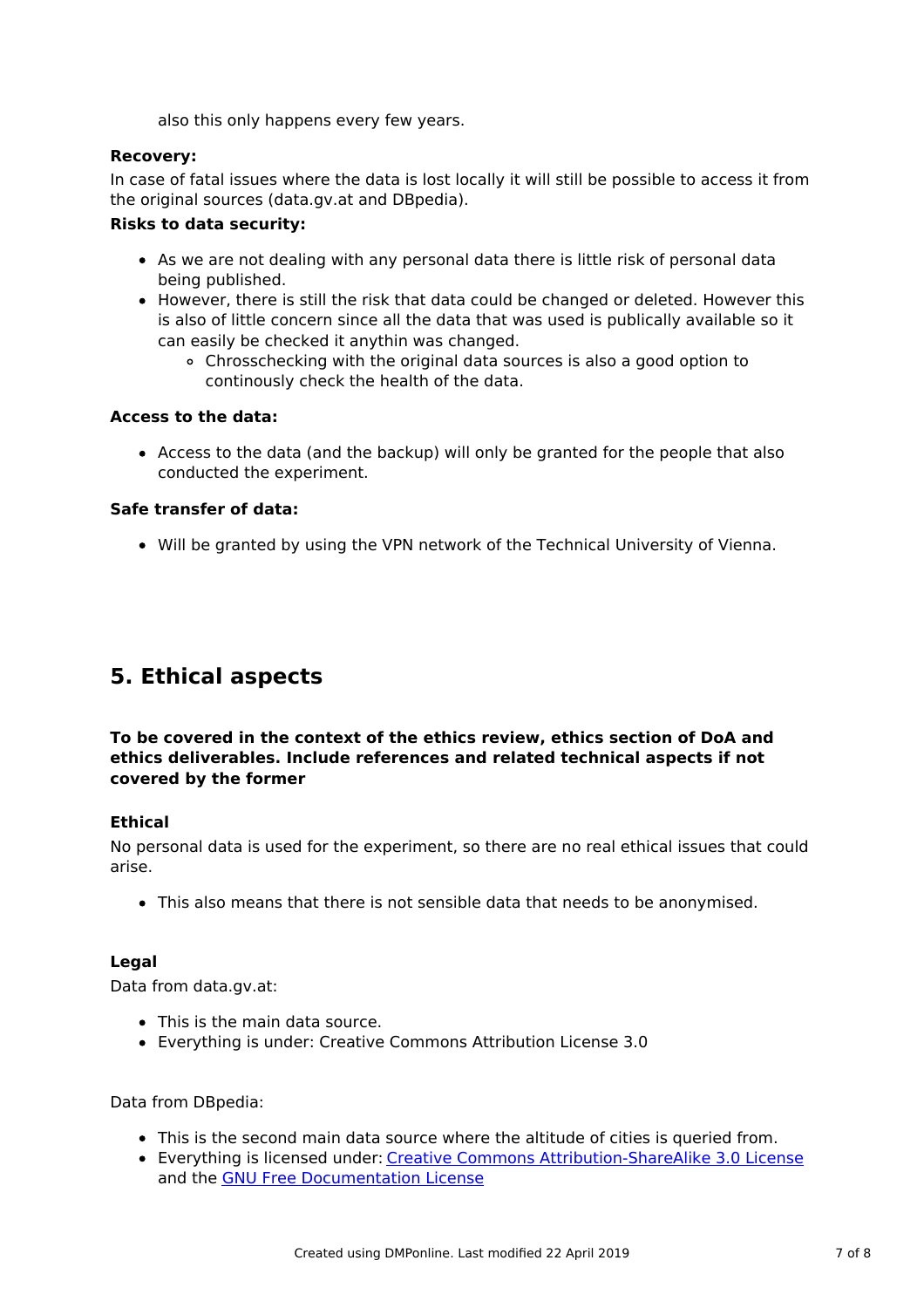also this only happens every few years.

### **Recovery:**

In case of fatal issues where the data is lost locally it will still be possible to access it from the original sources (data.gv.at and DBpedia).

### **Risks to data security:**

- As we are not dealing with any personal data there is little risk of personal data being published.
- However, there is still the risk that data could be changed or deleted. However this is also of little concern since all the data that was used is publically available so it can easily be checked it anythin was changed.
	- Chrosschecking with the original data sources is also a good option to continously check the health of the data.

### **Access to the data:**

Access to the data (and the backup) will only be granted for the people that also conducted the experiment.

### **Safe transfer of data:**

Will be granted by using the VPN network of the Technical University of Vienna.

# **5. Ethical aspects**

### **To be covered in the context of the ethics review, ethics section of DoA and ethics deliverables. Include references and related technical aspects if not covered by the former**

### **Ethical**

No personal data is used for the experiment, so there are no real ethical issues that could arise.

This also means that there is not sensible data that needs to be anonymised.

### **Legal**

Data from data.gv.at:

- This is the main data source.
- Everything is under: Creative Commons Attribution License 3.0

Data from DBpedia:

- This is the second main data source where the altitude of cities is queried from.
- Everything is licensed under: Creative Commons [Attribution-ShareAlike](http://en.wikipedia.org/wiki/Wikipedia:Text_of_Creative_Commons_Attribution-ShareAlike_3.0_Unported_License) 3.0 License and the GNU Free [Documentation](http://en.wikipedia.org/wiki/Wikipedia:Text_of_the_GNU_Free_Documentation_License) License